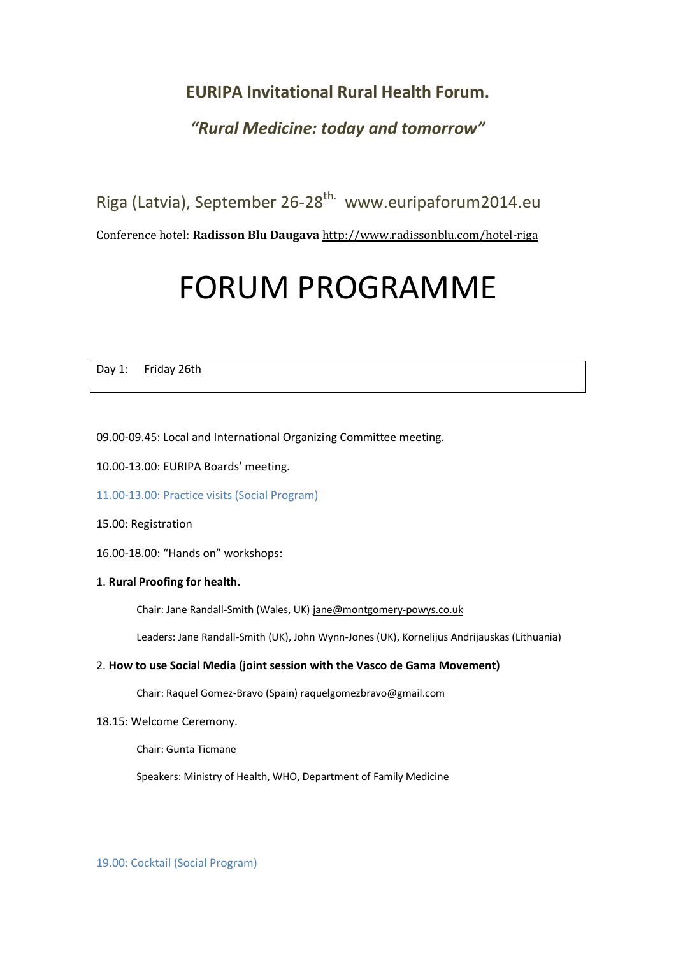# **EURIPA Invitational Rural Health Forum.**

# *"Rural Medicine: today and tomorrow"*

Riga (Latvia), September 26-28<sup>th.</sup> www.euripaforum2014.eu

Conference hotel: **Radisson Blu Daugava** <http://www.radissonblu.com/hotel-riga>

# FORUM PROGRAMME

Day 1: Friday 26th

09.00-09.45: Local and International Organizing Committee meeting.

- 10.00-13.00: EURIPA Boards' meeting.
- 11.00-13.00: Practice visits (Social Program)
- 15.00: Registration
- 16.00-18.00: "Hands on" workshops:

# 1. **Rural Proofing for health**.

Chair: Jane Randall-Smith (Wales, UK[\) jane@montgomery-powys.co.uk](mailto:jane@montgomery-powys.co.uk)

Leaders: Jane Randall-Smith (UK), John Wynn-Jones (UK), Kornelijus Andrijauskas (Lithuania)

# 2. **How to use Social Media (joint session with the Vasco de Gama Movement)**

Chair: Raquel Gomez-Bravo (Spain[\) raquelgomezbravo@gmail.com](mailto:raquelgomezbravo@gmail.com)

18.15: Welcome Ceremony.

Chair: Gunta Ticmane

Speakers: Ministry of Health, WHO, Department of Family Medicine

19.00: Cocktail (Social Program)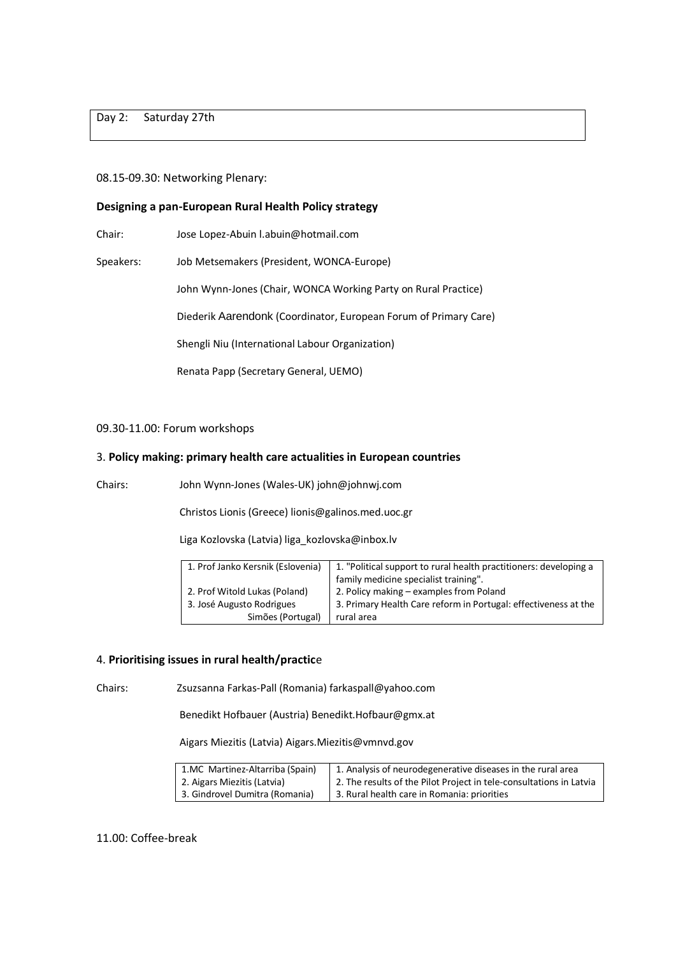Day 2: Saturday 27th

#### 08.15-09.30: Networking Plenary:

#### **Designing a pan-European Rural Health Policy strategy**

Chair: Jose Lopez-Abuin l.abuin@hotmail.com

Speakers: Job Metsemakers (President, WONCA-Europe)

John Wynn-Jones (Chair, WONCA Working Party on Rural Practice)

Diederik Aarendonk (Coordinator, European Forum of Primary Care)

Shengli Niu (International Labour Organization)

Renata Papp (Secretary General, UEMO)

#### 09.30-11.00: Forum workshops

#### 3. **Policy making: primary health care actualities in European countries**

Chairs: John Wynn-Jones (Wales-UK) john@johnwj.com

Christos Lionis (Greece) lionis@galinos.med.uoc.gr

Liga Kozlovska (Latvia[\) liga\\_kozlovska@inbox.lv](mailto:liga_kozlovska@inbox.lv)

| 1. Prof Janko Kersnik (Eslovenia) | 1. "Political support to rural health practitioners: developing a |
|-----------------------------------|-------------------------------------------------------------------|
|                                   | family medicine specialist training".                             |
| 2. Prof Witold Lukas (Poland)     | 2. Policy making - examples from Poland                           |
| 3. José Augusto Rodrigues         | 3. Primary Health Care reform in Portugal: effectiveness at the   |
| Simões (Portugal)                 | rural area                                                        |

#### 4. **Prioritising issues in rural health/practic**e

Chairs: Zsuzsanna Farkas-Pall (Romania) farkaspall@yahoo.com

Benedikt Hofbauer (Austria) Benedikt.Hofbaur@gmx.at

Aigars Miezitis (Latvia) Aigars.Miezitis@vmnvd.gov

| 1.MC Martinez-Altarriba (Spain) | 1. Analysis of neurodegenerative diseases in the rural area         |
|---------------------------------|---------------------------------------------------------------------|
| 2. Aigars Miezitis (Latvia)     | 2. The results of the Pilot Project in tele-consultations in Latvia |
| 3. Gindrovel Dumitra (Romania)  | 3. Rural health care in Romania: priorities                         |

11.00: Coffee-break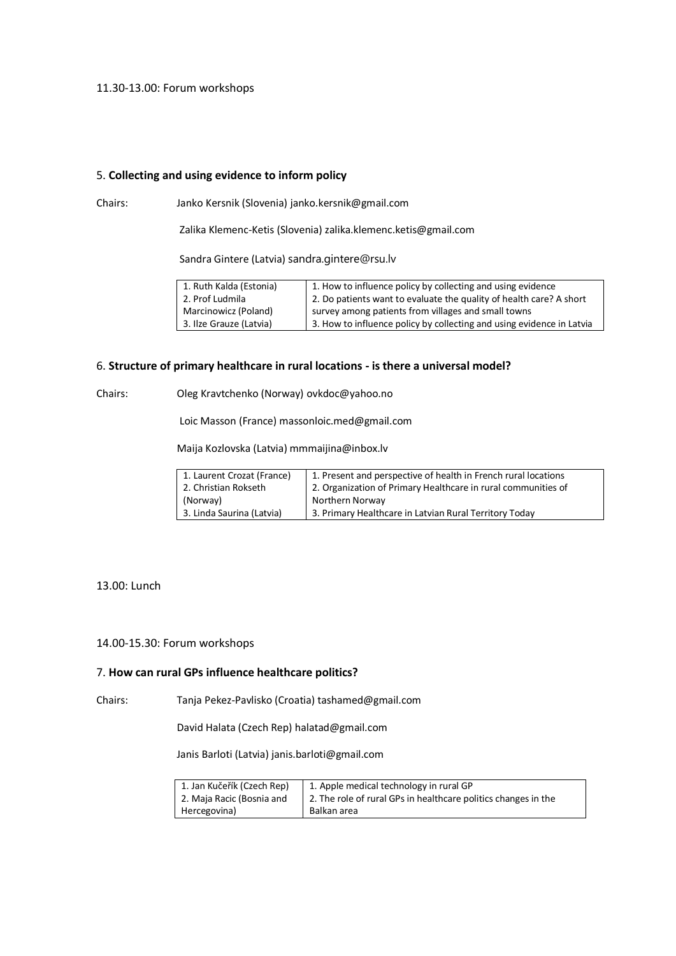#### 11.30-13.00: Forum workshops

# 5. **Collecting and using evidence to inform policy**

Chairs: Janko Kersnik (Slovenia) janko.kersnik@gmail.com

Zalika Klemenc-Ketis (Slovenia) zalika.klemenc.ketis@gmail.com

Sandra Gintere (Latvia) sandra.gintere@rsu.lv

| 1. Ruth Kalda (Estonia) | 1. How to influence policy by collecting and using evidence           |
|-------------------------|-----------------------------------------------------------------------|
| 2. Prof Ludmila         | 2. Do patients want to evaluate the quality of health care? A short   |
| Marcinowicz (Poland)    | survey among patients from villages and small towns                   |
| 3. Ilze Grauze (Latvia) | 3. How to influence policy by collecting and using evidence in Latvia |

# 6. **Structure of primary healthcare in rural locations - is there a universal model?**

Chairs: Oleg Kravtchenko (Norway) ovkdoc@yahoo.no

Loic Masson (France) massonloic.med@gmail.com

Maija Kozlovska (Latvia[\) mmmaijina@inbox.lv](mailto:mmmaijina@inbox.lv)

| 1. Laurent Crozat (France) | 1. Present and perspective of health in French rural locations |
|----------------------------|----------------------------------------------------------------|
| 2. Christian Rokseth       | 2. Organization of Primary Healthcare in rural communities of  |
| (Norway)                   | Northern Norway                                                |
| 3. Linda Saurina (Latvia)  | 3. Primary Healthcare in Latvian Rural Territory Today         |

#### 13.00: Lunch

# 14.00-15.30: Forum workshops

#### 7. **How can rural GPs influence healthcare politics?**

Chairs: Tanja Pekez-Pavlisko (Croatia) tashamed@gmail.com

David Halata (Czech Rep) halatad@gmail.com

Janis Barloti (Latvia) janis.barloti@gmail.com

| 1. Jan Kučeřík (Czech Rep) | 1. Apple medical technology in rural GP                        |
|----------------------------|----------------------------------------------------------------|
| 2. Maja Racic (Bosnia and  | 2. The role of rural GPs in healthcare politics changes in the |
| Hercegovina)               | Balkan area                                                    |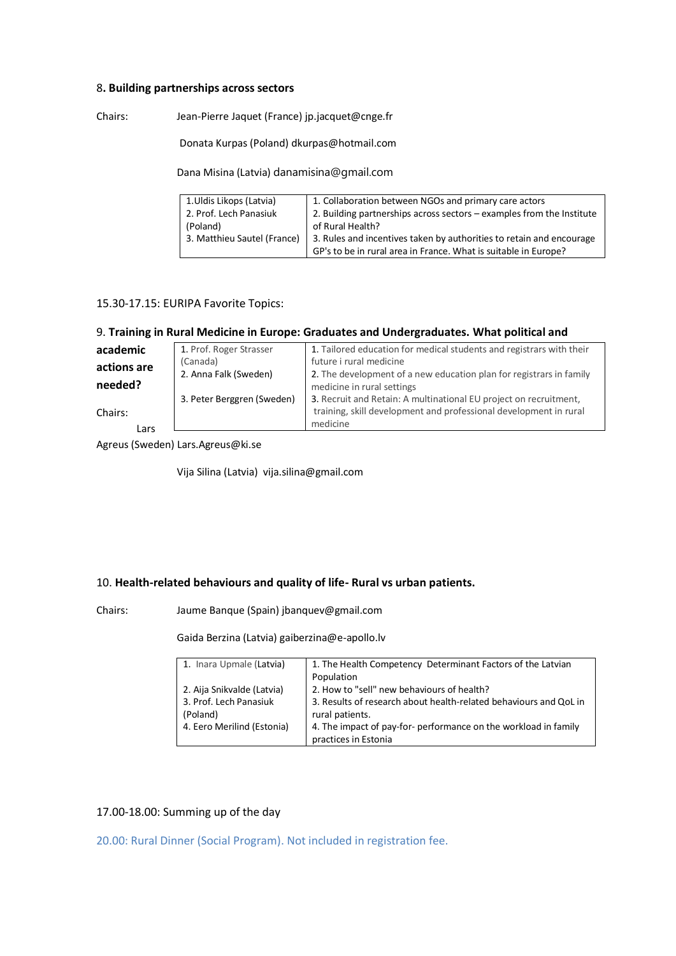#### 8**. Building partnerships across sectors**

Chairs: Jean-Pierre Jaquet (France) jp.jacquet@cnge.fr

Donata Kurpas (Poland) dkurpas@hotmail.com

Dana Misina (Latvia) [danamisina@gmail.com](mailto:danamisina@gmail.com)

| 1. Uldis Likops (Latvia)    | 1. Collaboration between NGOs and primary care actors                 |
|-----------------------------|-----------------------------------------------------------------------|
| 2. Prof. Lech Panasiuk      | 2. Building partnerships across sectors – examples from the Institute |
| (Poland)                    | of Rural Health?                                                      |
| 3. Matthieu Sautel (France) | 3. Rules and incentives taken by authorities to retain and encourage  |
|                             | GP's to be in rural area in France. What is suitable in Europe?       |

#### 15.30-17.15: EURIPA Favorite Topics:

# 9. **Training in Rural Medicine in Europe: Graduates and Undergraduates. What political and**

| academic    | 1. Prof. Roger Strasser    | 1. Tailored education for medical students and registrars with their |
|-------------|----------------------------|----------------------------------------------------------------------|
| actions are | (Canada)                   | future i rural medicine                                              |
|             | 2. Anna Falk (Sweden)      | 2. The development of a new education plan for registrars in family  |
| needed?     |                            | medicine in rural settings                                           |
|             | 3. Peter Berggren (Sweden) | 3. Recruit and Retain: A multinational EU project on recruitment,    |
| Chairs:     |                            | training, skill development and professional development in rural    |
| Lars        |                            | medicine                                                             |
|             |                            |                                                                      |

Agreus (Sweden) Lars.Agreus@ki.se

Vija Silina (Latvia) vija.silina@gmail.com

# 10. **Health-related behaviours and quality of life- Rural vs urban patients.**

Chairs: Jaume Banque (Spain) jbanquev@gmail.com

Gaida Berzina (Latvia) [gaiberzina@e-apollo.lv](mailto:gaiberzina@e-apollo.lv)

| 1. Inara Upmale (Latvia)   | 1. The Health Competency Determinant Factors of the Latvian       |
|----------------------------|-------------------------------------------------------------------|
|                            | Population                                                        |
| 2. Aija Snikvalde (Latvia) | 2. How to "sell" new behaviours of health?                        |
| 3. Prof. Lech Panasiuk     | 3. Results of research about health-related behaviours and QoL in |
| (Poland)                   | rural patients.                                                   |
| 4. Eero Merilind (Estonia) | 4. The impact of pay-for- performance on the workload in family   |
|                            | practices in Estonia                                              |

# 17.00-18.00: Summing up of the day

20.00: Rural Dinner (Social Program). Not included in registration fee.